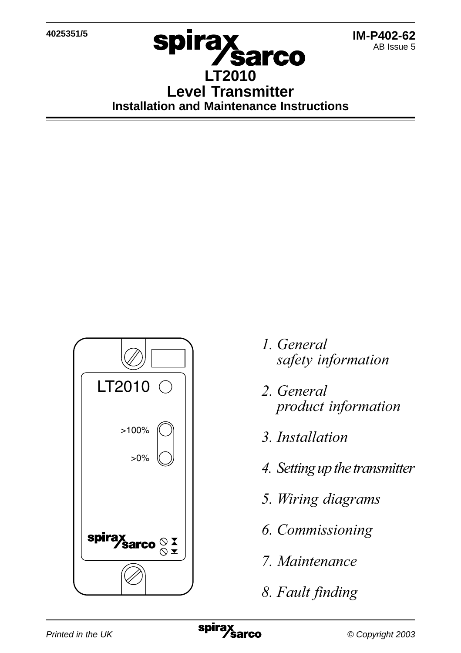**4025351/5**



## **spirax sarco LT2010 Level Transmitter Installation and Maintenance Instructions**



- 1. General safety information
- 2. General
- 3. Installation
- 4. Setting up the transmitter
- 5. Wiring diagrams
- **6.** Commissioning
- 7. Maintenance
- 8. Fault finding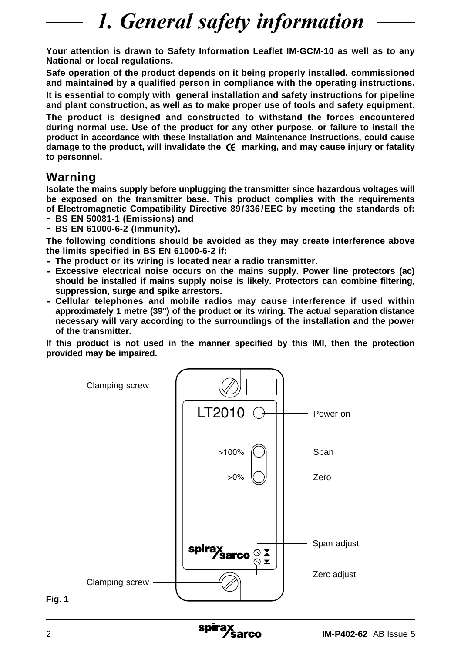## 1. General safety information

**Your attention is drawn to Safety Information Leaflet IM-GCM-10 as well as to any National or local regulations.**

**Safe operation of the product depends on it being properly installed, commissioned and maintained by a qualified person in compliance with the operating instructions.**

**It is essential to comply with general installation and safety instructions for pipeline and plant construction, as well as to make proper use of tools and safety equipment.**

**The product is designed and constructed to withstand the forces encountered during normal use. Use of the product for any other purpose, or failure to install the product in accordance with these Installation and Maintenance Instructions, could cause damage to the product, will invalidate the marking, and may cause injury or fatality to personnel.**

### **Warning**

**Isolate the mains supply before unplugging the transmitter since hazardous voltages will be exposed on the transmitter base. This product complies with the requirements of Electromagnetic Compatibility Directive 89/336/EEC by meeting the standards of:**

- **- BS EN 50081-1 (Emissions) and**
- **- BS EN 61000-6-2 (Immunity).**

**The following conditions should be avoided as they may create interference above the limits specified in BS EN 61000-6-2 if:**

- **- The product or its wiring is located near a radio transmitter.**
- **- Excessive electrical noise occurs on the mains supply. Power line protectors (ac) should be installed if mains supply noise is likely. Protectors can combine filtering, suppression, surge and spike arrestors.**
- **- Cellular telephones and mobile radios may cause interference if used within approximately 1 metre (39") of the product or its wiring. The actual separation distance necessary will vary according to the surroundings of the installation and the power of the transmitter.**

**If this product is not used in the manner specified by this IMI, then the protection provided may be impaired.**



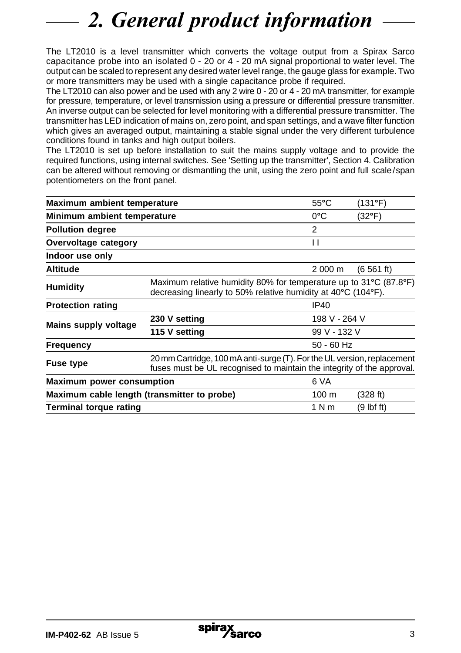# 2. General product information

The LT2010 is a level transmitter which converts the voltage output from a Spirax Sarco capacitance probe into an isolated 0 - 20 or 4 - 20 mA signal proportional to water level. The output can be scaled to represent any desired water level range, the gauge glass for example. Two or more transmitters may be used with a single capacitance probe if required.

The LT2010 can also power and be used with any 2 wire 0 - 20 or 4 - 20 mA transmitter, for example for pressure, temperature, or level transmission using a pressure or differential pressure transmitter. An inverse output can be selected for level monitoring with a differential pressure transmitter. The transmitter has LED indication of mains on, zero point, and span settings, and a wave filter function which gives an averaged output, maintaining a stable signal under the very different turbulence conditions found in tanks and high output boilers.

The LT2010 is set up before installation to suit the mains supply voltage and to provide the required functions, using internal switches. See 'Setting up the transmitter', Section 4. Calibration can be altered without removing or dismantling the unit, using the zero point and full scale/span potentiometers on the front panel.

| Maximum ambient temperature                 |                                                                                                                                                   | $55^{\circ}$ C  | (131°F)    |
|---------------------------------------------|---------------------------------------------------------------------------------------------------------------------------------------------------|-----------------|------------|
| Minimum ambient temperature                 |                                                                                                                                                   | $0^{\circ}$ C   | (32°F)     |
| <b>Pollution degree</b>                     |                                                                                                                                                   | 2               |            |
| Overvoltage category                        |                                                                                                                                                   | Н               |            |
| Indoor use only                             |                                                                                                                                                   |                 |            |
| Altitude                                    |                                                                                                                                                   | 2 000 m         | (6561 ft)  |
| Humidity                                    | Maximum relative humidity 80% for temperature up to 31°C (87.8°F)<br>decreasing linearly to 50% relative humidity at 40°C (104°F).                |                 |            |
| <b>Protection rating</b>                    |                                                                                                                                                   | IP40            |            |
| Mains supply voltage                        | 230 V setting                                                                                                                                     | 198 V - 264 V   |            |
|                                             | 115 V setting                                                                                                                                     | 99 V - 132 V    |            |
| Frequency                                   |                                                                                                                                                   | $50 - 60$ Hz    |            |
| <b>Fuse type</b>                            | 20 mm Cartridge, 100 mA anti-surge (T). For the UL version, replacement<br>fuses must be UL recognised to maintain the integrity of the approval. |                 |            |
| <b>Maximum power consumption</b>            |                                                                                                                                                   | 6 VA            |            |
| Maximum cable length (transmitter to probe) |                                                                                                                                                   | $100 \text{ m}$ | (328 ft)   |
| Terminal torque rating                      |                                                                                                                                                   | 1 N m           | (9 lbf ft) |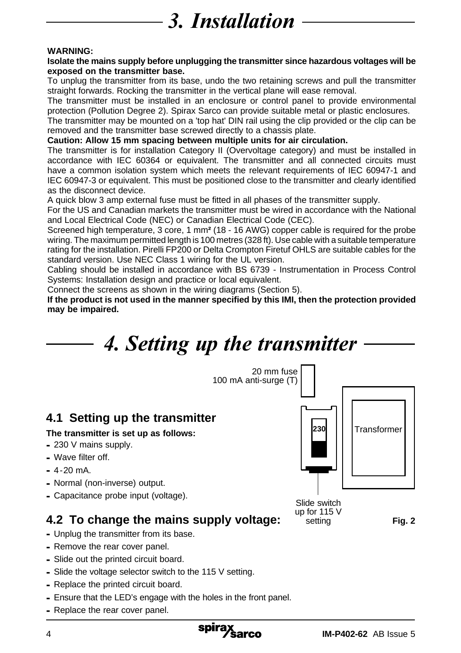# 3. Installation

### **WARNING:**

#### **Isolate the mains supply before unplugging the transmitter since hazardous voltages will be exposed on the transmitter base.**

To unplug the transmitter from its base, undo the two retaining screws and pull the transmitter straight forwards. Rocking the transmitter in the vertical plane will ease removal.

The transmitter must be installed in an enclosure or control panel to provide environmental protection (Pollution Degree 2). Spirax Sarco can provide suitable metal or plastic enclosures.

The transmitter may be mounted on a 'top hat' DIN rail using the clip provided or the clip can be removed and the transmitter base screwed directly to a chassis plate.

### **Caution: Allow 15 mm spacing between multiple units for air circulation.**

The transmitter is for installation Category II (Overvoltage category) and must be installed in accordance with IEC 60364 or equivalent. The transmitter and all connected circuits must have a common isolation system which meets the relevant requirements of IEC 60947-1 and IEC 60947-3 or equivalent. This must be positioned close to the transmitter and clearly identified as the disconnect device.

A quick blow 3 amp external fuse must be fitted in all phases of the transmitter supply.

For the US and Canadian markets the transmitter must be wired in accordance with the National and Local Electrical Code (NEC) or Canadian Electrical Code (CEC).

Screened high temperature, 3 core, 1 mm**²** (18 - 16 AWG) copper cable is required for the probe wiring. The maximum permitted length is 100 metres (328 ft). Use cable with a suitable temperature rating for the installation. Pirelli FP200 or Delta Crompton Firetuf OHLS are suitable cables for the standard version. Use NEC Class 1 wiring for the UL version.

Cabling should be installed in accordance with BS 6739 - Instrumentation in Process Control Systems: Installation design and practice or local equivalent.

Connect the screens as shown in the wiring diagrams (Section 5).

**If the product is not used in the manner specified by this IMI, then the protection provided may be impaired.**

## 4. Setting up the transmitter



- **-** Replace the printed circuit board.
- **-** Ensure that the LED's engage with the holes in the front panel.
- **-** Replace the rear cover panel.

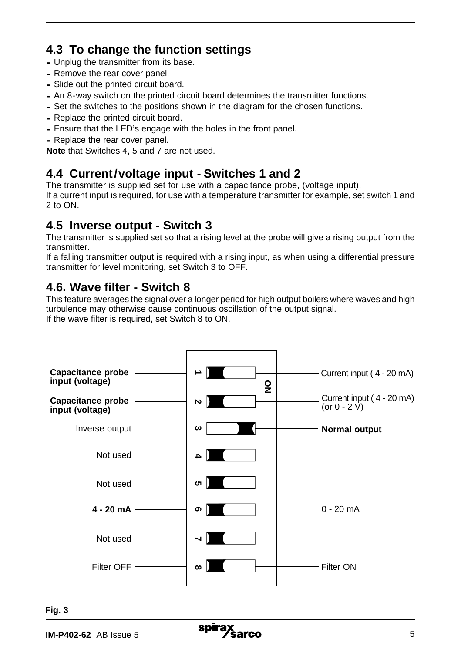## **4.3 To change the function settings**

- **-** Unplug the transmitter from its base.
- **-** Remove the rear cover panel.
- **-** Slide out the printed circuit board.
- **-** An 8-way switch on the printed circuit board determines the transmitter functions.
- **-** Set the switches to the positions shown in the diagram for the chosen functions.
- **-** Replace the printed circuit board.
- **-** Ensure that the LED's engage with the holes in the front panel.
- **-** Replace the rear cover panel.

**Note** that Switches 4, 5 and 7 are not used.

## **4.4 Current/voltage input - Switches 1 and 2**

The transmitter is supplied set for use with a capacitance probe, (voltage input).

If a current input is required, for use with a temperature transmitter for example, set switch 1 and 2 to ON.

## **4.5 Inverse output - Switch 3**

The transmitter is supplied set so that a rising level at the probe will give a rising output from the transmitter.

If a falling transmitter output is required with a rising input, as when using a differential pressure transmitter for level monitoring, set Switch 3 to OFF.

## **4.6. Wave filter - Switch 8**

This feature averages the signal over a longer period for high output boilers where waves and high turbulence may otherwise cause continuous oscillation of the output signal. If the wave filter is required, set Switch 8 to ON.



**Fig. 3**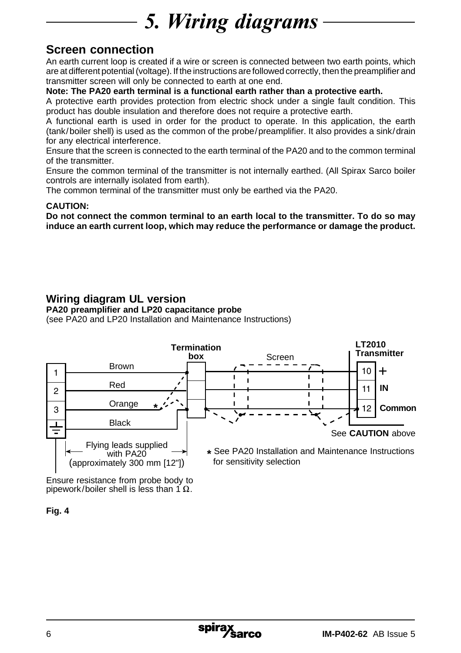## 5. Wiring diagrams

## **Screen connection**

An earth current loop is created if a wire or screen is connected between two earth points, which are at different potential (voltage). If the instructions are followed correctly, then the preamplifier and transmitter screen will only be connected to earth at one end.

### **Note: The PA20 earth terminal is a functional earth rather than a protective earth.**

A protective earth provides protection from electric shock under a single fault condition. This product has double insulation and therefore does not require a protective earth.

A functional earth is used in order for the product to operate. In this application, the earth (tank/boiler shell) is used as the common of the probe/preamplifier. It also provides a sink/drain for any electrical interference.

Ensure that the screen is connected to the earth terminal of the PA20 and to the common terminal of the transmitter.

Ensure the common terminal of the transmitter is not internally earthed. (All Spirax Sarco boiler controls are internally isolated from earth).

The common terminal of the transmitter must only be earthed via the PA20.

### **CAUTION:**

**Do not connect the common terminal to an earth local to the transmitter. To do so may induce an earth current loop, which may reduce the performance or damage the product.**

### **Wiring diagram UL version**

**PA20 preamplifier and LP20 capacitance probe**

(see PA20 and LP20 Installation and Maintenance Instructions)



Ensure resistance from probe body to pipework/boiler shell is less than 1  $\Omega$ .

**Fig. 4**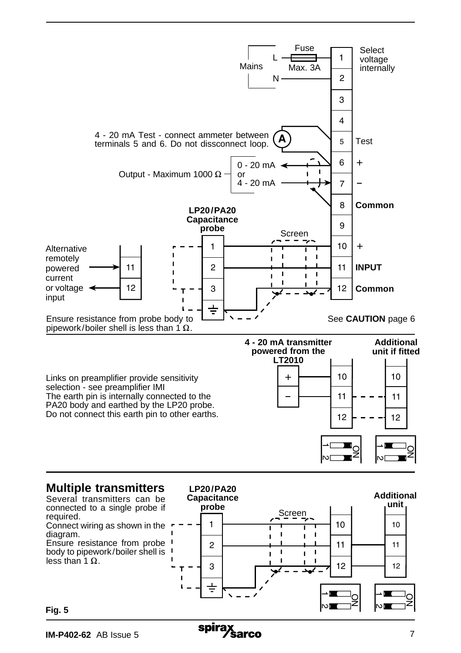



**Fig. 5**